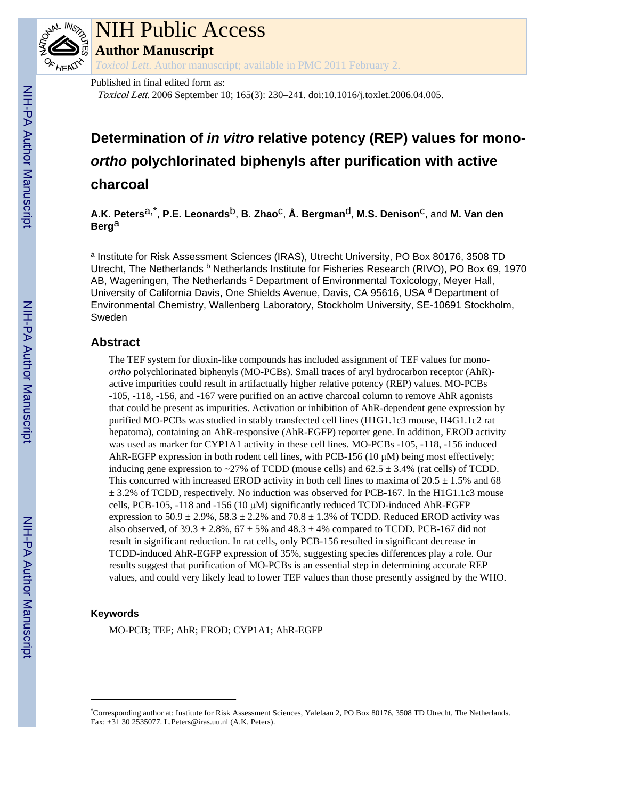

### NIH Public Access

**Author Manuscript**

*Toxicol Lett*. Author manuscript; available in PMC 2011 February 2.

Published in final edited form as:

Toxicol Lett. 2006 September 10; 165(3): 230–241. doi:10.1016/j.toxlet.2006.04.005.

### **Determination of** *in vitro* **relative potency (REP) values for mono***ortho* **polychlorinated biphenyls after purification with active charcoal**

 $A.K.$  Peters<sup>a,\*</sup>, P.E. Leonards<sup>b</sup>, B. Zhao<sup>c</sup>, Å. Bergman<sup>d</sup>, M.S. Denison<sup>c</sup>, and M. Van den **Berg**a

<sup>a</sup> Institute for Risk Assessment Sciences (IRAS), Utrecht University, PO Box 80176, 3508 TD Utrecht, The Netherlands <sup>b</sup> Netherlands Institute for Fisheries Research (RIVO), PO Box 69, 1970 AB, Wageningen, The Netherlands <sup>c</sup> Department of Environmental Toxicology, Meyer Hall, University of California Davis, One Shields Avenue, Davis, CA 95616, USA <sup>d</sup> Department of Environmental Chemistry, Wallenberg Laboratory, Stockholm University, SE-10691 Stockholm, Sweden

#### **Abstract**

The TEF system for dioxin-like compounds has included assignment of TEF values for mono*ortho* polychlorinated biphenyls (MO-PCBs). Small traces of aryl hydrocarbon receptor (AhR) active impurities could result in artifactually higher relative potency (REP) values. MO-PCBs -105, -118, -156, and -167 were purified on an active charcoal column to remove AhR agonists that could be present as impurities. Activation or inhibition of AhR-dependent gene expression by purified MO-PCBs was studied in stably transfected cell lines (H1G1.1c3 mouse, H4G1.1c2 rat hepatoma), containing an AhR-responsive (AhR-EGFP) reporter gene. In addition, EROD activity was used as marker for CYP1A1 activity in these cell lines. MO-PCBs -105, -118, -156 induced AhR-EGFP expression in both rodent cell lines, with PCB-156 (10 μM) being most effectively; inducing gene expression to ~27% of TCDD (mouse cells) and  $62.5 \pm 3.4\%$  (rat cells) of TCDD. This concurred with increased EROD activity in both cell lines to maxima of  $20.5 \pm 1.5\%$  and 68  $\pm$  3.2% of TCDD, respectively. No induction was observed for PCB-167. In the H1G1.1c3 mouse cells, PCB-105, -118 and -156 (10 μM) significantly reduced TCDD-induced AhR-EGFP expression to  $50.9 \pm 2.9\%$ ,  $58.3 \pm 2.2\%$  and  $70.8 \pm 1.3\%$  of TCDD. Reduced EROD activity was also observed, of  $39.3 \pm 2.8\%$ ,  $67 \pm 5\%$  and  $48.3 \pm 4\%$  compared to TCDD. PCB-167 did not result in significant reduction. In rat cells, only PCB-156 resulted in significant decrease in TCDD-induced AhR-EGFP expression of 35%, suggesting species differences play a role. Our results suggest that purification of MO-PCBs is an essential step in determining accurate REP values, and could very likely lead to lower TEF values than those presently assigned by the WHO.

#### **Keywords**

MO-PCB; TEF; AhR; EROD; CYP1A1; AhR-EGFP

<sup>\*</sup>Corresponding author at: Institute for Risk Assessment Sciences, Yalelaan 2, PO Box 80176, 3508 TD Utrecht, The Netherlands. Fax: +31 30 2535077. L.Peters@iras.uu.nl (A.K. Peters).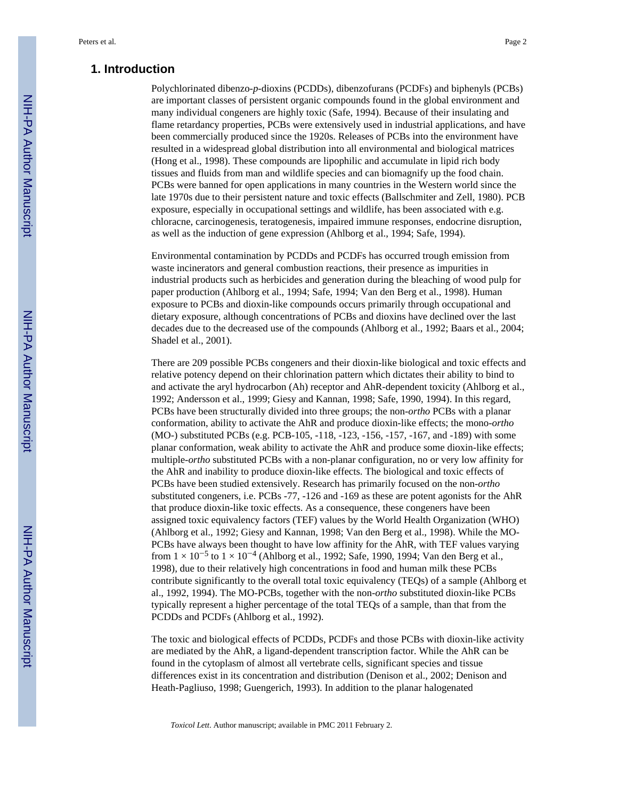#### **1. Introduction**

Polychlorinated dibenzo-*p*-dioxins (PCDDs), dibenzofurans (PCDFs) and biphenyls (PCBs) are important classes of persistent organic compounds found in the global environment and many individual congeners are highly toxic (Safe, 1994). Because of their insulating and flame retardancy properties, PCBs were extensively used in industrial applications, and have been commercially produced since the 1920s. Releases of PCBs into the environment have resulted in a widespread global distribution into all environmental and biological matrices (Hong et al., 1998). These compounds are lipophilic and accumulate in lipid rich body tissues and fluids from man and wildlife species and can biomagnify up the food chain. PCBs were banned for open applications in many countries in the Western world since the late 1970s due to their persistent nature and toxic effects (Ballschmiter and Zell, 1980). PCB exposure, especially in occupational settings and wildlife, has been associated with e.g. chloracne, carcinogenesis, teratogenesis, impaired immune responses, endocrine disruption, as well as the induction of gene expression (Ahlborg et al., 1994; Safe, 1994).

Environmental contamination by PCDDs and PCDFs has occurred trough emission from waste incinerators and general combustion reactions, their presence as impurities in industrial products such as herbicides and generation during the bleaching of wood pulp for paper production (Ahlborg et al., 1994; Safe, 1994; Van den Berg et al., 1998). Human exposure to PCBs and dioxin-like compounds occurs primarily through occupational and dietary exposure, although concentrations of PCBs and dioxins have declined over the last decades due to the decreased use of the compounds (Ahlborg et al., 1992; Baars et al., 2004; Shadel et al., 2001).

There are 209 possible PCBs congeners and their dioxin-like biological and toxic effects and relative potency depend on their chlorination pattern which dictates their ability to bind to and activate the aryl hydrocarbon (Ah) receptor and AhR-dependent toxicity (Ahlborg et al., 1992; Andersson et al., 1999; Giesy and Kannan, 1998; Safe, 1990, 1994). In this regard, PCBs have been structurally divided into three groups; the non-*ortho* PCBs with a planar conformation, ability to activate the AhR and produce dioxin-like effects; the mono-*ortho* (MO-) substituted PCBs (e.g. PCB-105, -118, -123, -156, -157, -167, and -189) with some planar conformation, weak ability to activate the AhR and produce some dioxin-like effects; multiple-*ortho* substituted PCBs with a non-planar configuration, no or very low affinity for the AhR and inability to produce dioxin-like effects. The biological and toxic effects of PCBs have been studied extensively. Research has primarily focused on the non-*ortho* substituted congeners, i.e. PCBs -77, -126 and -169 as these are potent agonists for the AhR that produce dioxin-like toxic effects. As a consequence, these congeners have been assigned toxic equivalency factors (TEF) values by the World Health Organization (WHO) (Ahlborg et al., 1992; Giesy and Kannan, 1998; Van den Berg et al., 1998). While the MO-PCBs have always been thought to have low affinity for the AhR, with TEF values varying from  $1 \times 10^{-5}$  to  $1 \times 10^{-4}$  (Ahlborg et al., 1992; Safe, 1990, 1994; Van den Berg et al., 1998), due to their relatively high concentrations in food and human milk these PCBs contribute significantly to the overall total toxic equivalency (TEQs) of a sample (Ahlborg et al., 1992, 1994). The MO-PCBs, together with the non-*ortho* substituted dioxin-like PCBs typically represent a higher percentage of the total TEQs of a sample, than that from the PCDDs and PCDFs (Ahlborg et al., 1992).

The toxic and biological effects of PCDDs, PCDFs and those PCBs with dioxin-like activity are mediated by the AhR, a ligand-dependent transcription factor. While the AhR can be found in the cytoplasm of almost all vertebrate cells, significant species and tissue differences exist in its concentration and distribution (Denison et al., 2002; Denison and Heath-Pagliuso, 1998; Guengerich, 1993). In addition to the planar halogenated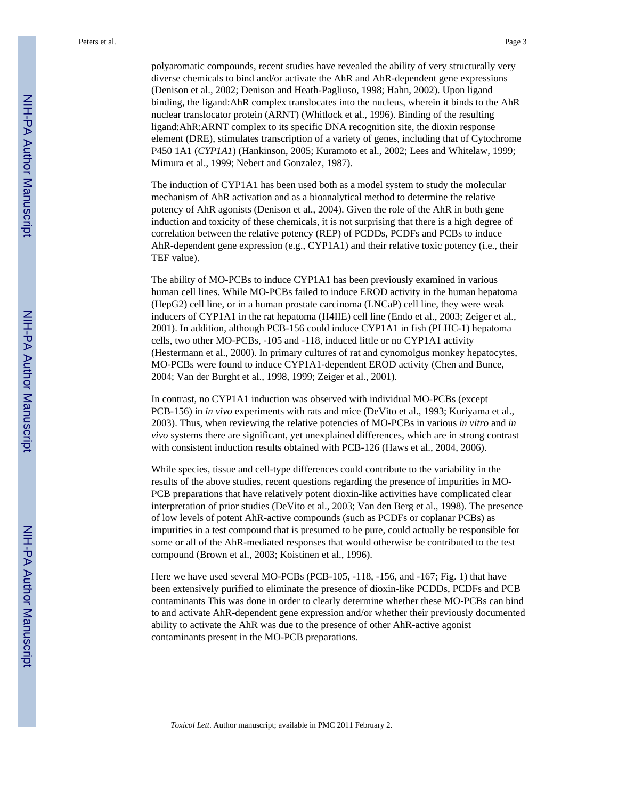polyaromatic compounds, recent studies have revealed the ability of very structurally very diverse chemicals to bind and/or activate the AhR and AhR-dependent gene expressions (Denison et al., 2002; Denison and Heath-Pagliuso, 1998; Hahn, 2002). Upon ligand binding, the ligand:AhR complex translocates into the nucleus, wherein it binds to the AhR nuclear translocator protein (ARNT) (Whitlock et al., 1996). Binding of the resulting ligand:AhR:ARNT complex to its specific DNA recognition site, the dioxin response element (DRE), stimulates transcription of a variety of genes, including that of Cytochrome P450 1A1 (*CYP1A1*) (Hankinson, 2005; Kuramoto et al., 2002; Lees and Whitelaw, 1999; Mimura et al., 1999; Nebert and Gonzalez, 1987).

The induction of CYP1A1 has been used both as a model system to study the molecular mechanism of AhR activation and as a bioanalytical method to determine the relative potency of AhR agonists (Denison et al., 2004). Given the role of the AhR in both gene induction and toxicity of these chemicals, it is not surprising that there is a high degree of correlation between the relative potency (REP) of PCDDs, PCDFs and PCBs to induce AhR-dependent gene expression (e.g., CYP1A1) and their relative toxic potency (i.e., their TEF value).

The ability of MO-PCBs to induce CYP1A1 has been previously examined in various human cell lines. While MO-PCBs failed to induce EROD activity in the human hepatoma (HepG2) cell line, or in a human prostate carcinoma (LNCaP) cell line, they were weak inducers of CYP1A1 in the rat hepatoma (H4IIE) cell line (Endo et al., 2003; Zeiger et al., 2001). In addition, although PCB-156 could induce CYP1A1 in fish (PLHC-1) hepatoma cells, two other MO-PCBs, -105 and -118, induced little or no CYP1A1 activity (Hestermann et al., 2000). In primary cultures of rat and cynomolgus monkey hepatocytes, MO-PCBs were found to induce CYP1A1-dependent EROD activity (Chen and Bunce, 2004; Van der Burght et al., 1998, 1999; Zeiger et al., 2001).

In contrast, no CYP1A1 induction was observed with individual MO-PCBs (except PCB-156) in *in vivo* experiments with rats and mice (DeVito et al., 1993; Kuriyama et al., 2003). Thus, when reviewing the relative potencies of MO-PCBs in various *in vitro* and *in vivo* systems there are significant, yet unexplained differences, which are in strong contrast with consistent induction results obtained with PCB-126 (Haws et al., 2004, 2006).

While species, tissue and cell-type differences could contribute to the variability in the results of the above studies, recent questions regarding the presence of impurities in MO-PCB preparations that have relatively potent dioxin-like activities have complicated clear interpretation of prior studies (DeVito et al., 2003; Van den Berg et al., 1998). The presence of low levels of potent AhR-active compounds (such as PCDFs or coplanar PCBs) as impurities in a test compound that is presumed to be pure, could actually be responsible for some or all of the AhR-mediated responses that would otherwise be contributed to the test compound (Brown et al., 2003; Koistinen et al., 1996).

Here we have used several MO-PCBs (PCB-105, -118, -156, and -167; Fig. 1) that have been extensively purified to eliminate the presence of dioxin-like PCDDs, PCDFs and PCB contaminants This was done in order to clearly determine whether these MO-PCBs can bind to and activate AhR-dependent gene expression and/or whether their previously documented ability to activate the AhR was due to the presence of other AhR-active agonist contaminants present in the MO-PCB preparations.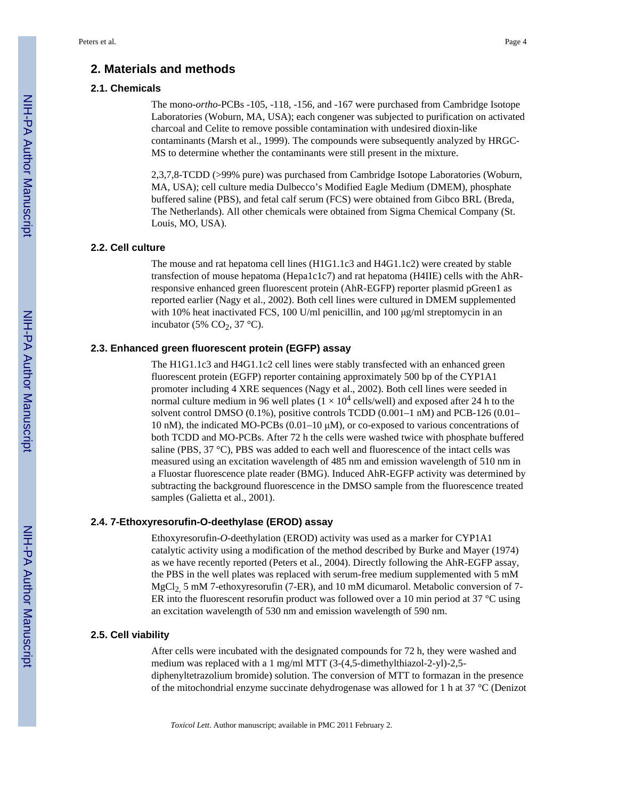#### **2. Materials and methods**

#### **2.1. Chemicals**

The mono-*ortho*-PCBs -105, -118, -156, and -167 were purchased from Cambridge Isotope Laboratories (Woburn, MA, USA); each congener was subjected to purification on activated charcoal and Celite to remove possible contamination with undesired dioxin-like contaminants (Marsh et al., 1999). The compounds were subsequently analyzed by HRGC-MS to determine whether the contaminants were still present in the mixture.

2,3,7,8-TCDD (>99% pure) was purchased from Cambridge Isotope Laboratories (Woburn, MA, USA); cell culture media Dulbecco's Modified Eagle Medium (DMEM), phosphate buffered saline (PBS), and fetal calf serum (FCS) were obtained from Gibco BRL (Breda, The Netherlands). All other chemicals were obtained from Sigma Chemical Company (St. Louis, MO, USA).

#### **2.2. Cell culture**

The mouse and rat hepatoma cell lines (H1G1.1c3 and H4G1.1c2) were created by stable transfection of mouse hepatoma (Hepa1c1c7) and rat hepatoma (H4IIE) cells with the AhRresponsive enhanced green fluorescent protein (AhR-EGFP) reporter plasmid pGreen1 as reported earlier (Nagy et al., 2002). Both cell lines were cultured in DMEM supplemented with 10% heat inactivated FCS, 100 U/ml penicillin, and 100 μg/ml streptomycin in an incubator (5%  $CO<sub>2</sub>$ , 37 °C).

#### **2.3. Enhanced green fluorescent protein (EGFP) assay**

The H1G1.1c3 and H4G1.1c2 cell lines were stably transfected with an enhanced green fluorescent protein (EGFP) reporter containing approximately 500 bp of the CYP1A1 promoter including 4 XRE sequences (Nagy et al., 2002). Both cell lines were seeded in normal culture medium in 96 well plates  $(1 \times 10^4 \text{ cells/well})$  and exposed after 24 h to the solvent control DMSO (0.1%), positive controls TCDD (0.001–1 nM) and PCB-126 (0.01– 10 nM), the indicated MO-PCBs (0.01–10 μM), or co-exposed to various concentrations of both TCDD and MO-PCBs. After 72 h the cells were washed twice with phosphate buffered saline (PBS, 37 °C), PBS was added to each well and fluorescence of the intact cells was measured using an excitation wavelength of 485 nm and emission wavelength of 510 nm in a Fluostar fluorescence plate reader (BMG). Induced AhR-EGFP activity was determined by subtracting the background fluorescence in the DMSO sample from the fluorescence treated samples (Galietta et al., 2001).

#### **2.4. 7-Ethoxyresorufin-O-deethylase (EROD) assay**

Ethoxyresorufin-*O*-deethylation (EROD) activity was used as a marker for CYP1A1 catalytic activity using a modification of the method described by Burke and Mayer (1974) as we have recently reported (Peters et al., 2004). Directly following the AhR-EGFP assay, the PBS in the well plates was replaced with serum-free medium supplemented with 5 mM MgCl<sub>2</sub>, 5 mM 7-ethoxyresorufin (7-ER), and 10 mM dicumarol. Metabolic conversion of 7-ER into the fluorescent resorutin product was followed over a 10 min period at 37  $^{\circ}$ C using an excitation wavelength of 530 nm and emission wavelength of 590 nm.

#### **2.5. Cell viability**

After cells were incubated with the designated compounds for 72 h, they were washed and medium was replaced with a 1 mg/ml MTT (3-(4,5-dimethylthiazol-2-yl)-2,5 diphenyltetrazolium bromide) solution. The conversion of MTT to formazan in the presence of the mitochondrial enzyme succinate dehydrogenase was allowed for 1 h at 37 °C (Denizot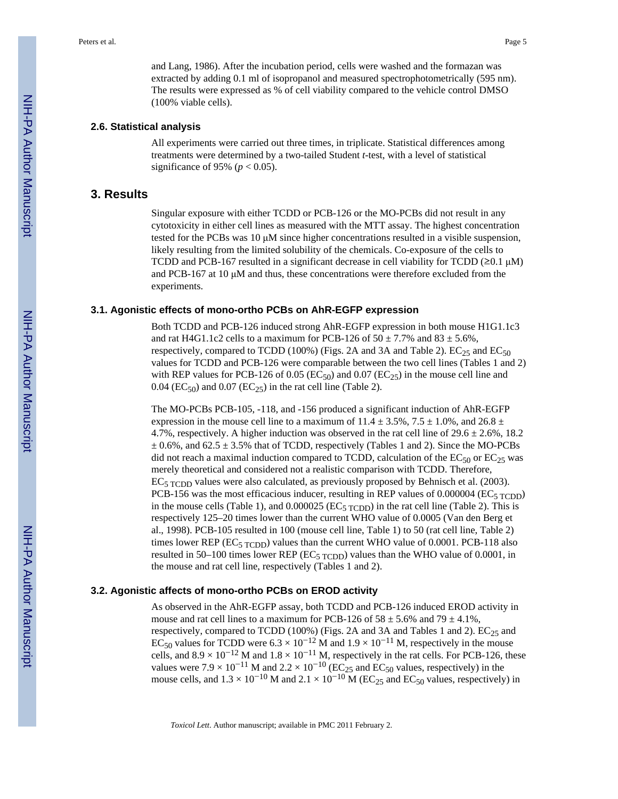and Lang, 1986). After the incubation period, cells were washed and the formazan was extracted by adding 0.1 ml of isopropanol and measured spectrophotometrically (595 nm). The results were expressed as % of cell viability compared to the vehicle control DMSO (100% viable cells).

#### **2.6. Statistical analysis**

All experiments were carried out three times, in triplicate. Statistical differences among treatments were determined by a two-tailed Student *t*-test, with a level of statistical significance of 95% ( $p < 0.05$ ).

#### **3. Results**

Singular exposure with either TCDD or PCB-126 or the MO-PCBs did not result in any cytotoxicity in either cell lines as measured with the MTT assay. The highest concentration tested for the PCBs was 10 μM since higher concentrations resulted in a visible suspension, likely resulting from the limited solubility of the chemicals. Co-exposure of the cells to TCDD and PCB-167 resulted in a significant decrease in cell viability for TCDD ( $\geq 0.1 \mu$ M) and PCB-167 at 10 μM and thus, these concentrations were therefore excluded from the experiments.

#### **3.1. Agonistic effects of mono-ortho PCBs on AhR-EGFP expression**

Both TCDD and PCB-126 induced strong AhR-EGFP expression in both mouse H1G1.1c3 and rat H4G1.1c2 cells to a maximum for PCB-126 of  $50 \pm 7.7\%$  and  $83 \pm 5.6\%$ , respectively, compared to TCDD (100%) (Figs. 2A and 3A and Table 2).  $EC_{25}$  and  $EC_{50}$ values for TCDD and PCB-126 were comparable between the two cell lines (Tables 1 and 2) with REP values for PCB-126 of 0.05 (EC<sub>50</sub>) and 0.07 (EC<sub>25</sub>) in the mouse cell line and  $0.04$  (EC<sub>50</sub>) and  $0.07$  (EC<sub>25</sub>) in the rat cell line (Table 2).

The MO-PCBs PCB-105, -118, and -156 produced a significant induction of AhR-EGFP expression in the mouse cell line to a maximum of  $11.4 \pm 3.5\%$ ,  $7.5 \pm 1.0\%$ , and  $26.8 \pm 1.0\%$ 4.7%, respectively. A higher induction was observed in the rat cell line of  $29.6 \pm 2.6\%$ , 18.2  $\pm$  0.6%, and 62.5  $\pm$  3.5% that of TCDD, respectively (Tables 1 and 2). Since the MO-PCBs did not reach a maximal induction compared to TCDD, calculation of the  $EC_{50}$  or  $EC_{25}$  was merely theoretical and considered not a realistic comparison with TCDD. Therefore,  $EC<sub>5</sub>$  TCDD values were also calculated, as previously proposed by Behnisch et al. (2003). PCB-156 was the most efficacious inducer, resulting in REP values of  $0.000004$  (EC<sub>5 TCDD</sub>) in the mouse cells (Table 1), and  $0.000025$  (EC<sub>5 TCDD</sub>) in the rat cell line (Table 2). This is respectively 125–20 times lower than the current WHO value of 0.0005 (Van den Berg et al., 1998). PCB-105 resulted in 100 (mouse cell line, Table 1) to 50 (rat cell line, Table 2) times lower REP ( $EC_{5 \text{ TCDD}}$ ) values than the current WHO value of 0.0001. PCB-118 also resulted in 50–100 times lower REP (EC<sub>5 TCDD</sub>) values than the WHO value of 0.0001, in the mouse and rat cell line, respectively (Tables 1 and 2).

#### **3.2. Agonistic affects of mono-ortho PCBs on EROD activity**

As observed in the AhR-EGFP assay, both TCDD and PCB-126 induced EROD activity in mouse and rat cell lines to a maximum for PCB-126 of  $58 \pm 5.6\%$  and  $79 \pm 4.1\%$ , respectively, compared to TCDD (100%) (Figs. 2A and 3A and Tables 1 and 2).  $EC_{25}$  and EC<sub>50</sub> values for TCDD were  $6.3 \times 10^{-12}$  M and  $1.9 \times 10^{-11}$  M, respectively in the mouse cells, and  $8.9 \times 10^{-12}$  M and  $1.8 \times 10^{-11}$  M, respectively in the rat cells. For PCB-126, these values were 7.9 × 10<sup>-11</sup> M and 2.2 × 10<sup>-10</sup> (EC<sub>25</sub> and EC<sub>50</sub> values, respectively) in the mouse cells, and  $1.3 \times 10^{-10}$  M and  $2.1 \times 10^{-10}$  M (EC<sub>25</sub> and EC<sub>50</sub> values, respectively) in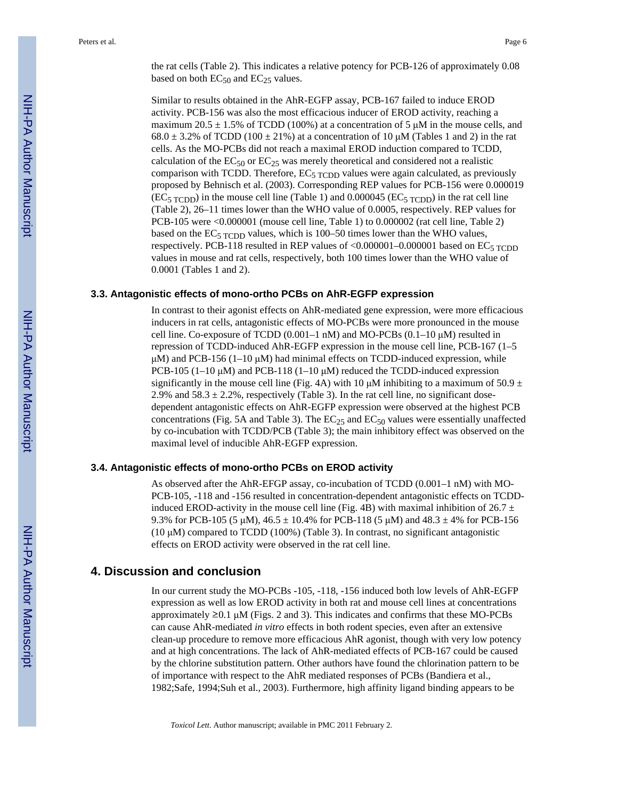Similar to results obtained in the AhR-EGFP assay, PCB-167 failed to induce EROD activity. PCB-156 was also the most efficacious inducer of EROD activity, reaching a maximum 20.5  $\pm$  1.5% of TCDD (100%) at a concentration of 5  $\mu$ M in the mouse cells, and  $68.0 \pm 3.2\%$  of TCDD (100  $\pm 21\%$ ) at a concentration of 10  $\mu$ M (Tables 1 and 2) in the rat cells. As the MO-PCBs did not reach a maximal EROD induction compared to TCDD, calculation of the  $EC_{50}$  or  $EC_{25}$  was merely theoretical and considered not a realistic comparison with TCDD. Therefore,  $EC<sub>5</sub>$  TCDD values were again calculated, as previously proposed by Behnisch et al. (2003). Corresponding REP values for PCB-156 were 0.000019  $(EC<sub>5</sub>_{TCDD})$  in the mouse cell line (Table 1) and 0.000045 ( $EC<sub>5</sub>_{TCDD}$ ) in the rat cell line (Table 2), 26–11 times lower than the WHO value of 0.0005, respectively. REP values for PCB-105 were <0.000001 (mouse cell line, Table 1) to 0.000002 (rat cell line, Table 2) based on the  $EC<sub>5</sub>$  TCDD values, which is 100–50 times lower than the WHO values, respectively. PCB-118 resulted in REP values of  $\langle 0.000001 - 0.000001$  based on EC<sub>5</sub> TCDD values in mouse and rat cells, respectively, both 100 times lower than the WHO value of 0.0001 (Tables 1 and 2).

#### **3.3. Antagonistic effects of mono-ortho PCBs on AhR-EGFP expression**

In contrast to their agonist effects on AhR-mediated gene expression, were more efficacious inducers in rat cells, antagonistic effects of MO-PCBs were more pronounced in the mouse cell line. Co-exposure of TCDD  $(0.001-1 \text{ nM})$  and MO-PCBs  $(0.1-10 \text{ µ})$  resulted in repression of TCDD-induced AhR-EGFP expression in the mouse cell line, PCB-167 (1–5  $\mu$ M) and PCB-156 (1–10  $\mu$ M) had minimal effects on TCDD-induced expression, while PCB-105 (1–10  $\mu$ M) and PCB-118 (1–10  $\mu$ M) reduced the TCDD-induced expression significantly in the mouse cell line (Fig. 4A) with 10  $\mu$ M inhibiting to a maximum of 50.9 ± 2.9% and  $58.3 \pm 2.2$ %, respectively (Table 3). In the rat cell line, no significant dosedependent antagonistic effects on AhR-EGFP expression were observed at the highest PCB concentrations (Fig. 5A and Table 3). The  $EC_{25}$  and  $EC_{50}$  values were essentially unaffected by co-incubation with TCDD/PCB (Table 3); the main inhibitory effect was observed on the maximal level of inducible AhR-EGFP expression.

#### **3.4. Antagonistic effects of mono-ortho PCBs on EROD activity**

As observed after the AhR-EFGP assay, co-incubation of TCDD (0.001–1 nM) with MO-PCB-105, -118 and -156 resulted in concentration-dependent antagonistic effects on TCDDinduced EROD-activity in the mouse cell line (Fig. 4B) with maximal inhibition of 26.7  $\pm$ 9.3% for PCB-105 (5  $\mu$ M), 46.5  $\pm$  10.4% for PCB-118 (5  $\mu$ M) and 48.3  $\pm$  4% for PCB-156  $(10 \mu M)$  compared to TCDD  $(100\%)$  (Table 3). In contrast, no significant antagonistic effects on EROD activity were observed in the rat cell line.

#### **4. Discussion and conclusion**

In our current study the MO-PCBs -105, -118, -156 induced both low levels of AhR-EGFP expression as well as low EROD activity in both rat and mouse cell lines at concentrations approximately  $\geq 0.1$  μM (Figs. 2 and 3). This indicates and confirms that these MO-PCBs can cause AhR-mediated *in vitro* effects in both rodent species, even after an extensive clean-up procedure to remove more efficacious AhR agonist, though with very low potency and at high concentrations. The lack of AhR-mediated effects of PCB-167 could be caused by the chlorine substitution pattern. Other authors have found the chlorination pattern to be of importance with respect to the AhR mediated responses of PCBs (Bandiera et al., 1982;Safe, 1994;Suh et al., 2003). Furthermore, high affinity ligand binding appears to be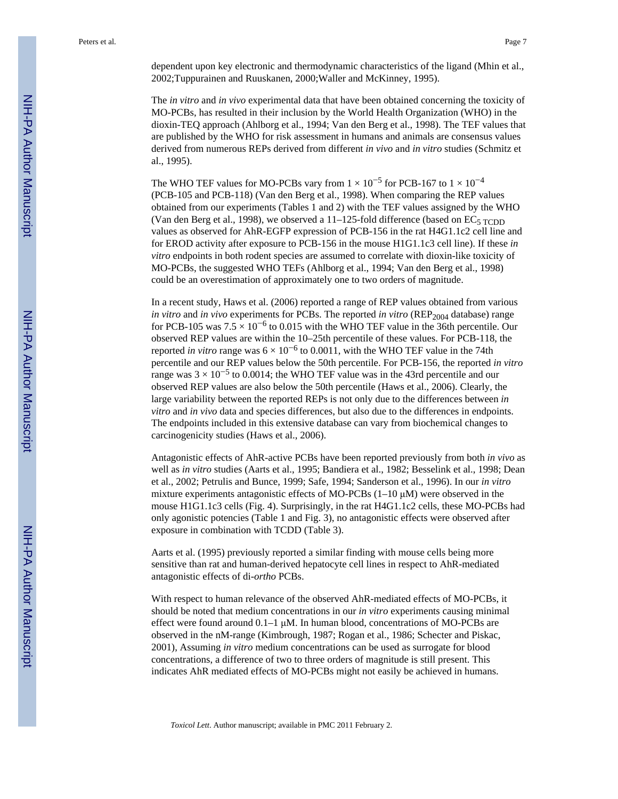dependent upon key electronic and thermodynamic characteristics of the ligand (Mhin et al., 2002;Tuppurainen and Ruuskanen, 2000;Waller and McKinney, 1995).

The *in vitro* and *in vivo* experimental data that have been obtained concerning the toxicity of MO-PCBs, has resulted in their inclusion by the World Health Organization (WHO) in the dioxin-TEQ approach (Ahlborg et al., 1994; Van den Berg et al., 1998). The TEF values that are published by the WHO for risk assessment in humans and animals are consensus values derived from numerous REPs derived from different *in vivo* and *in vitro* studies (Schmitz et al., 1995).

The WHO TEF values for MO-PCBs vary from  $1 \times 10^{-5}$  for PCB-167 to  $1 \times 10^{-4}$ (PCB-105 and PCB-118) (Van den Berg et al., 1998). When comparing the REP values obtained from our experiments (Tables 1 and 2) with the TEF values assigned by the WHO (Van den Berg et al., 1998), we observed a  $11-125$ -fold difference (based on EC<sub>5</sub> TCDD) values as observed for AhR-EGFP expression of PCB-156 in the rat H4G1.1c2 cell line and for EROD activity after exposure to PCB-156 in the mouse H1G1.1c3 cell line). If these *in vitro* endpoints in both rodent species are assumed to correlate with dioxin-like toxicity of MO-PCBs, the suggested WHO TEFs (Ahlborg et al., 1994; Van den Berg et al., 1998) could be an overestimation of approximately one to two orders of magnitude.

In a recent study, Haws et al. (2006) reported a range of REP values obtained from various *in vitro* and *in vivo* experiments for PCBs. The reported *in vitro* (REP<sub>2004</sub> database) range for PCB-105 was  $7.5 \times 10^{-6}$  to 0.015 with the WHO TEF value in the 36th percentile. Our observed REP values are within the 10–25th percentile of these values. For PCB-118, the reported *in vitro* range was  $6 \times 10^{-6}$  to 0.0011, with the WHO TEF value in the 74th percentile and our REP values below the 50th percentile. For PCB-156, the reported *in vitro* range was  $3 \times 10^{-5}$  to 0.0014; the WHO TEF value was in the 43rd percentile and our observed REP values are also below the 50th percentile (Haws et al., 2006). Clearly, the large variability between the reported REPs is not only due to the differences between *in vitro* and *in vivo* data and species differences, but also due to the differences in endpoints. The endpoints included in this extensive database can vary from biochemical changes to carcinogenicity studies (Haws et al., 2006).

Antagonistic effects of AhR-active PCBs have been reported previously from both *in vivo* as well as *in vitro* studies (Aarts et al., 1995; Bandiera et al., 1982; Besselink et al., 1998; Dean et al., 2002; Petrulis and Bunce, 1999; Safe, 1994; Sanderson et al., 1996). In our *in vitro* mixture experiments antagonistic effects of MO-PCBs  $(1-10 \mu)$  were observed in the mouse H1G1.1c3 cells (Fig. 4). Surprisingly, in the rat H4G1.1c2 cells, these MO-PCBs had only agonistic potencies (Table 1 and Fig. 3), no antagonistic effects were observed after exposure in combination with TCDD (Table 3).

Aarts et al. (1995) previously reported a similar finding with mouse cells being more sensitive than rat and human-derived hepatocyte cell lines in respect to AhR-mediated antagonistic effects of di-*ortho* PCBs.

With respect to human relevance of the observed AhR-mediated effects of MO-PCBs, it should be noted that medium concentrations in our *in vitro* experiments causing minimal effect were found around  $0.1-1 \mu M$ . In human blood, concentrations of MO-PCBs are observed in the nM-range (Kimbrough, 1987; Rogan et al., 1986; Schecter and Piskac, 2001), Assuming *in vitro* medium concentrations can be used as surrogate for blood concentrations, a difference of two to three orders of magnitude is still present. This indicates AhR mediated effects of MO-PCBs might not easily be achieved in humans.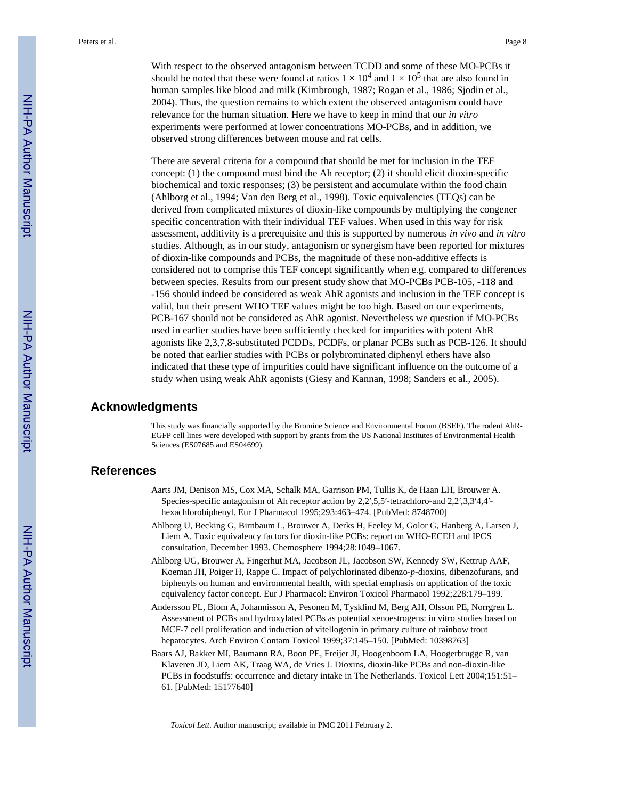With respect to the observed antagonism between TCDD and some of these MO-PCBs it should be noted that these were found at ratios  $1 \times 10^4$  and  $1 \times 10^5$  that are also found in human samples like blood and milk (Kimbrough, 1987; Rogan et al., 1986; Sjodin et al., 2004). Thus, the question remains to which extent the observed antagonism could have relevance for the human situation. Here we have to keep in mind that our *in vitro* experiments were performed at lower concentrations MO-PCBs, and in addition, we observed strong differences between mouse and rat cells.

There are several criteria for a compound that should be met for inclusion in the TEF concept:  $(1)$  the compound must bind the Ah receptor;  $(2)$  it should elicit dioxin-specific biochemical and toxic responses; (3) be persistent and accumulate within the food chain (Ahlborg et al., 1994; Van den Berg et al., 1998). Toxic equivalencies (TEQs) can be derived from complicated mixtures of dioxin-like compounds by multiplying the congener specific concentration with their individual TEF values. When used in this way for risk assessment, additivity is a prerequisite and this is supported by numerous *in vivo* and *in vitro* studies. Although, as in our study, antagonism or synergism have been reported for mixtures of dioxin-like compounds and PCBs, the magnitude of these non-additive effects is considered not to comprise this TEF concept significantly when e.g. compared to differences between species. Results from our present study show that MO-PCBs PCB-105, -118 and -156 should indeed be considered as weak AhR agonists and inclusion in the TEF concept is valid, but their present WHO TEF values might be too high. Based on our experiments, PCB-167 should not be considered as AhR agonist. Nevertheless we question if MO-PCBs used in earlier studies have been sufficiently checked for impurities with potent AhR agonists like 2,3,7,8-substituted PCDDs, PCDFs, or planar PCBs such as PCB-126. It should be noted that earlier studies with PCBs or polybrominated diphenyl ethers have also indicated that these type of impurities could have significant influence on the outcome of a study when using weak AhR agonists (Giesy and Kannan, 1998; Sanders et al., 2005).

#### **Acknowledgments**

This study was financially supported by the Bromine Science and Environmental Forum (BSEF). The rodent AhR-EGFP cell lines were developed with support by grants from the US National Institutes of Environmental Health Sciences (ES07685 and ES04699).

#### **References**

- Aarts JM, Denison MS, Cox MA, Schalk MA, Garrison PM, Tullis K, de Haan LH, Brouwer A. Species-specific antagonism of Ah receptor action by 2,2′,5,5′-tetrachloro-and 2,2′,3,3′4,4′ hexachlorobiphenyl. Eur J Pharmacol 1995;293:463–474. [PubMed: 8748700]
- Ahlborg U, Becking G, Birnbaum L, Brouwer A, Derks H, Feeley M, Golor G, Hanberg A, Larsen J, Liem A. Toxic equivalency factors for dioxin-like PCBs: report on WHO-ECEH and IPCS consultation, December 1993. Chemosphere 1994;28:1049–1067.
- Ahlborg UG, Brouwer A, Fingerhut MA, Jacobson JL, Jacobson SW, Kennedy SW, Kettrup AAF, Koeman JH, Poiger H, Rappe C. Impact of polychlorinated dibenzo-*p*-dioxins, dibenzofurans, and biphenyls on human and environmental health, with special emphasis on application of the toxic equivalency factor concept. Eur J Pharmacol: Environ Toxicol Pharmacol 1992;228:179–199.
- Andersson PL, Blom A, Johannisson A, Pesonen M, Tysklind M, Berg AH, Olsson PE, Norrgren L. Assessment of PCBs and hydroxylated PCBs as potential xenoestrogens: in vitro studies based on MCF-7 cell proliferation and induction of vitellogenin in primary culture of rainbow trout hepatocytes. Arch Environ Contam Toxicol 1999;37:145–150. [PubMed: 10398763]
- Baars AJ, Bakker MI, Baumann RA, Boon PE, Freijer JI, Hoogenboom LA, Hoogerbrugge R, van Klaveren JD, Liem AK, Traag WA, de Vries J. Dioxins, dioxin-like PCBs and non-dioxin-like PCBs in foodstuffs: occurrence and dietary intake in The Netherlands. Toxicol Lett 2004;151:51– 61. [PubMed: 15177640]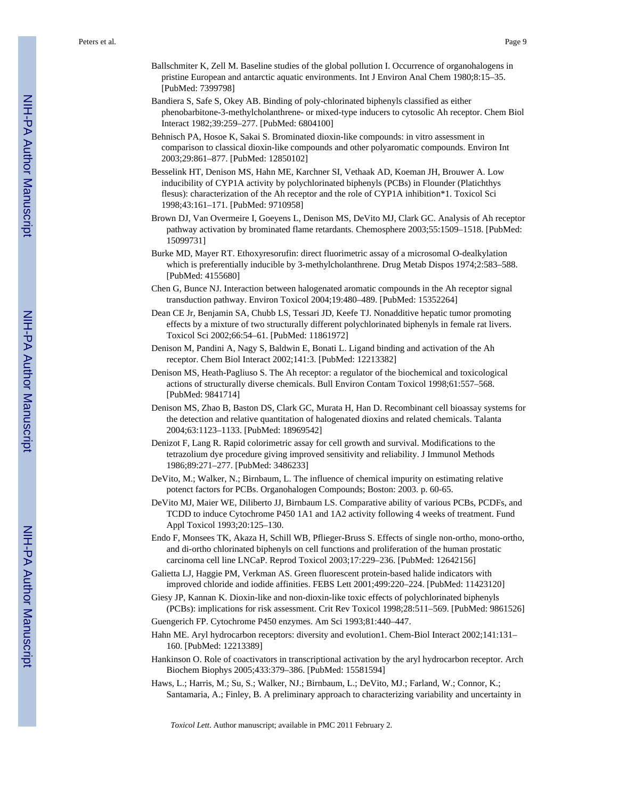- Ballschmiter K, Zell M. Baseline studies of the global pollution I. Occurrence of organohalogens in pristine European and antarctic aquatic environments. Int J Environ Anal Chem 1980;8:15–35. [PubMed: 7399798]
- Bandiera S, Safe S, Okey AB. Binding of poly-chlorinated biphenyls classified as either phenobarbitone-3-methylcholanthrene- or mixed-type inducers to cytosolic Ah receptor. Chem Biol Interact 1982;39:259–277. [PubMed: 6804100]
- Behnisch PA, Hosoe K, Sakai S. Brominated dioxin-like compounds: in vitro assessment in comparison to classical dioxin-like compounds and other polyaromatic compounds. Environ Int 2003;29:861–877. [PubMed: 12850102]
- Besselink HT, Denison MS, Hahn ME, Karchner SI, Vethaak AD, Koeman JH, Brouwer A. Low inducibility of CYP1A activity by polychlorinated biphenyls (PCBs) in Flounder (Platichthys flesus): characterization of the Ah receptor and the role of CYP1A inhibition\*1. Toxicol Sci 1998;43:161–171. [PubMed: 9710958]
- Brown DJ, Van Overmeire I, Goeyens L, Denison MS, DeVito MJ, Clark GC. Analysis of Ah receptor pathway activation by brominated flame retardants. Chemosphere 2003;55:1509–1518. [PubMed: 15099731]
- Burke MD, Mayer RT. Ethoxyresorufin: direct fluorimetric assay of a microsomal O-dealkylation which is preferentially inducible by 3-methylcholanthrene. Drug Metab Dispos 1974;2:583–588. [PubMed: 4155680]
- Chen G, Bunce NJ. Interaction between halogenated aromatic compounds in the Ah receptor signal transduction pathway. Environ Toxicol 2004;19:480–489. [PubMed: 15352264]
- Dean CE Jr, Benjamin SA, Chubb LS, Tessari JD, Keefe TJ. Nonadditive hepatic tumor promoting effects by a mixture of two structurally different polychlorinated biphenyls in female rat livers. Toxicol Sci 2002;66:54–61. [PubMed: 11861972]
- Denison M, Pandini A, Nagy S, Baldwin E, Bonati L. Ligand binding and activation of the Ah receptor. Chem Biol Interact 2002;141:3. [PubMed: 12213382]
- Denison MS, Heath-Pagliuso S. The Ah receptor: a regulator of the biochemical and toxicological actions of structurally diverse chemicals. Bull Environ Contam Toxicol 1998;61:557–568. [PubMed: 9841714]
- Denison MS, Zhao B, Baston DS, Clark GC, Murata H, Han D. Recombinant cell bioassay systems for the detection and relative quantitation of halogenated dioxins and related chemicals. Talanta 2004;63:1123–1133. [PubMed: 18969542]
- Denizot F, Lang R. Rapid colorimetric assay for cell growth and survival. Modifications to the tetrazolium dye procedure giving improved sensitivity and reliability. J Immunol Methods 1986;89:271–277. [PubMed: 3486233]
- DeVito, M.; Walker, N.; Birnbaum, L. The influence of chemical impurity on estimating relative potenct factors for PCBs. Organohalogen Compounds; Boston: 2003. p. 60-65.
- DeVito MJ, Maier WE, Diliberto JJ, Birnbaum LS. Comparative ability of various PCBs, PCDFs, and TCDD to induce Cytochrome P450 1A1 and 1A2 activity following 4 weeks of treatment. Fund Appl Toxicol 1993;20:125–130.
- Endo F, Monsees TK, Akaza H, Schill WB, Pflieger-Bruss S. Effects of single non-ortho, mono-ortho, and di-ortho chlorinated biphenyls on cell functions and proliferation of the human prostatic carcinoma cell line LNCaP. Reprod Toxicol 2003;17:229–236. [PubMed: 12642156]
- Galietta LJ, Haggie PM, Verkman AS. Green fluorescent protein-based halide indicators with improved chloride and iodide affinities. FEBS Lett 2001;499:220–224. [PubMed: 11423120]
- Giesy JP, Kannan K. Dioxin-like and non-dioxin-like toxic effects of polychlorinated biphenyls (PCBs): implications for risk assessment. Crit Rev Toxicol 1998;28:511–569. [PubMed: 9861526]
- Guengerich FP. Cytochrome P450 enzymes. Am Sci 1993;81:440–447.
- Hahn ME. Aryl hydrocarbon receptors: diversity and evolution1. Chem-Biol Interact 2002;141:131– 160. [PubMed: 12213389]
- Hankinson O. Role of coactivators in transcriptional activation by the aryl hydrocarbon receptor. Arch Biochem Biophys 2005;433:379–386. [PubMed: 15581594]
- Haws, L.; Harris, M.; Su, S.; Walker, NJ.; Birnbaum, L.; DeVito, MJ.; Farland, W.; Connor, K.; Santamaria, A.; Finley, B. A preliminary approach to characterizing variability and uncertainty in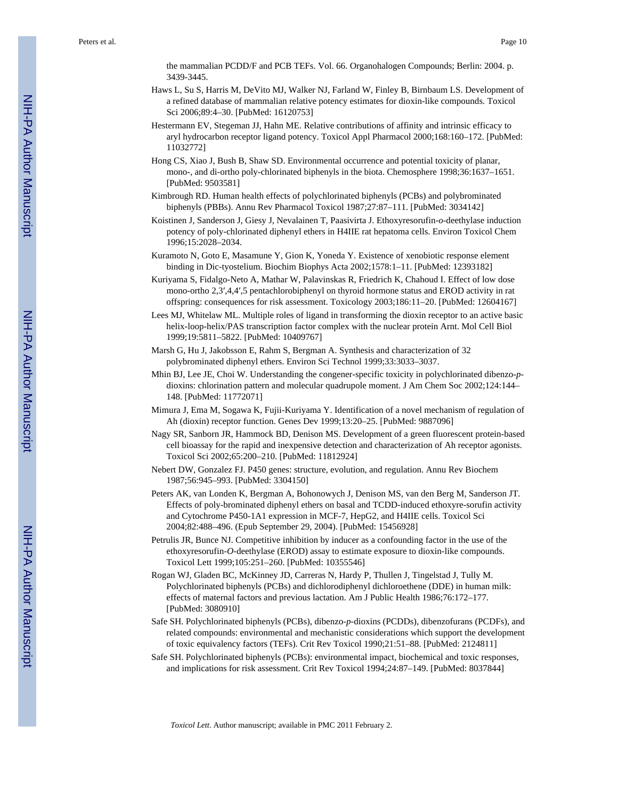the mammalian PCDD/F and PCB TEFs. Vol. 66. Organohalogen Compounds; Berlin: 2004. p. 3439-3445.

- Haws L, Su S, Harris M, DeVito MJ, Walker NJ, Farland W, Finley B, Birnbaum LS. Development of a refined database of mammalian relative potency estimates for dioxin-like compounds. Toxicol Sci 2006;89:4–30. [PubMed: 16120753]
- Hestermann EV, Stegeman JJ, Hahn ME. Relative contributions of affinity and intrinsic efficacy to aryl hydrocarbon receptor ligand potency. Toxicol Appl Pharmacol 2000;168:160–172. [PubMed: 11032772]
- Hong CS, Xiao J, Bush B, Shaw SD. Environmental occurrence and potential toxicity of planar, mono-, and di-ortho poly-chlorinated biphenyls in the biota. Chemosphere 1998;36:1637–1651. [PubMed: 9503581]
- Kimbrough RD. Human health effects of polychlorinated biphenyls (PCBs) and polybrominated biphenyls (PBBs). Annu Rev Pharmacol Toxicol 1987;27:87–111. [PubMed: 3034142]
- Koistinen J, Sanderson J, Giesy J, Nevalainen T, Paasivirta J. Ethoxyresorufin-*o*-deethylase induction potency of poly-chlorinated diphenyl ethers in H4IIE rat hepatoma cells. Environ Toxicol Chem 1996;15:2028–2034.
- Kuramoto N, Goto E, Masamune Y, Gion K, Yoneda Y. Existence of xenobiotic response element binding in Dic-tyostelium. Biochim Biophys Acta 2002;1578:1–11. [PubMed: 12393182]
- Kuriyama S, Fidalgo-Neto A, Mathar W, Palavinskas R, Friedrich K, Chahoud I. Effect of low dose mono-ortho 2,3′,4,4′,5 pentachlorobiphenyl on thyroid hormone status and EROD activity in rat offspring: consequences for risk assessment. Toxicology 2003;186:11–20. [PubMed: 12604167]
- Lees MJ, Whitelaw ML. Multiple roles of ligand in transforming the dioxin receptor to an active basic helix-loop-helix/PAS transcription factor complex with the nuclear protein Arnt. Mol Cell Biol 1999;19:5811–5822. [PubMed: 10409767]
- Marsh G, Hu J, Jakobsson E, Rahm S, Bergman A. Synthesis and characterization of 32 polybrominated diphenyl ethers. Environ Sci Technol 1999;33:3033–3037.
- Mhin BJ, Lee JE, Choi W. Understanding the congener-specific toxicity in polychlorinated dibenzo-*p*dioxins: chlorination pattern and molecular quadrupole moment. J Am Chem Soc 2002;124:144– 148. [PubMed: 11772071]
- Mimura J, Ema M, Sogawa K, Fujii-Kuriyama Y. Identification of a novel mechanism of regulation of Ah (dioxin) receptor function. Genes Dev 1999;13:20–25. [PubMed: 9887096]
- Nagy SR, Sanborn JR, Hammock BD, Denison MS. Development of a green fluorescent protein-based cell bioassay for the rapid and inexpensive detection and characterization of Ah receptor agonists. Toxicol Sci 2002;65:200–210. [PubMed: 11812924]
- Nebert DW, Gonzalez FJ. P450 genes: structure, evolution, and regulation. Annu Rev Biochem 1987;56:945–993. [PubMed: 3304150]
- Peters AK, van Londen K, Bergman A, Bohonowych J, Denison MS, van den Berg M, Sanderson JT. Effects of poly-brominated diphenyl ethers on basal and TCDD-induced ethoxyre-sorufin activity and Cytochrome P450-1A1 expression in MCF-7, HepG2, and H4IIE cells. Toxicol Sci 2004;82:488–496. (Epub September 29, 2004). [PubMed: 15456928]
- Petrulis JR, Bunce NJ. Competitive inhibition by inducer as a confounding factor in the use of the ethoxyresorufin-*O*-deethylase (EROD) assay to estimate exposure to dioxin-like compounds. Toxicol Lett 1999;105:251–260. [PubMed: 10355546]
- Rogan WJ, Gladen BC, McKinney JD, Carreras N, Hardy P, Thullen J, Tingelstad J, Tully M. Polychlorinated biphenyls (PCBs) and dichlorodiphenyl dichloroethene (DDE) in human milk: effects of maternal factors and previous lactation. Am J Public Health 1986;76:172–177. [PubMed: 3080910]
- Safe SH. Polychlorinated biphenyls (PCBs), dibenzo-*p*-dioxins (PCDDs), dibenzofurans (PCDFs), and related compounds: environmental and mechanistic considerations which support the development of toxic equivalency factors (TEFs). Crit Rev Toxicol 1990;21:51–88. [PubMed: 2124811]
- Safe SH. Polychlorinated biphenyls (PCBs): environmental impact, biochemical and toxic responses, and implications for risk assessment. Crit Rev Toxicol 1994;24:87–149. [PubMed: 8037844]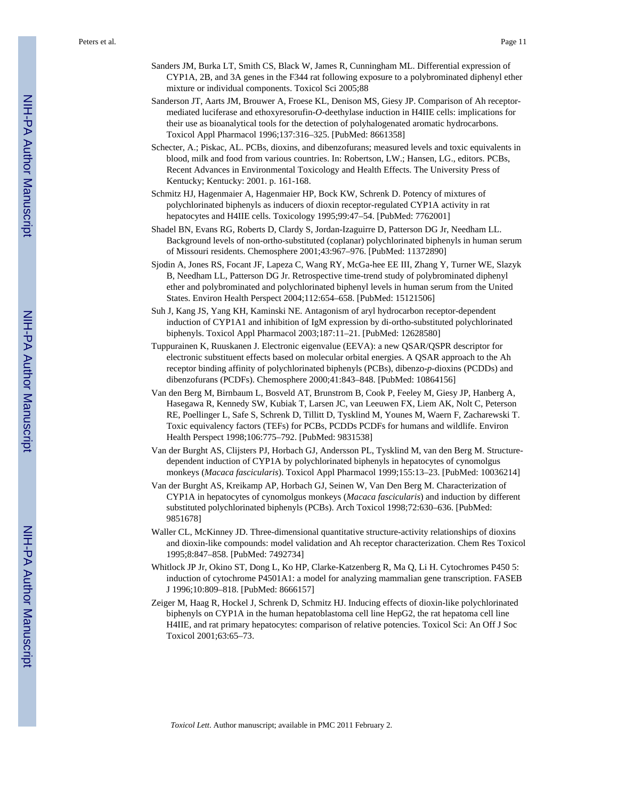- Sanders JM, Burka LT, Smith CS, Black W, James R, Cunningham ML. Differential expression of CYP1A, 2B, and 3A genes in the F344 rat following exposure to a polybrominated diphenyl ether mixture or individual components. Toxicol Sci 2005;88
- Sanderson JT, Aarts JM, Brouwer A, Froese KL, Denison MS, Giesy JP. Comparison of Ah receptormediated luciferase and ethoxyresorufin-*O*-deethylase induction in H4IIE cells: implications for their use as bioanalytical tools for the detection of polyhalogenated aromatic hydrocarbons. Toxicol Appl Pharmacol 1996;137:316–325. [PubMed: 8661358]
- Schecter, A.; Piskac, AL. PCBs, dioxins, and dibenzofurans; measured levels and toxic equivalents in blood, milk and food from various countries. In: Robertson, LW.; Hansen, LG., editors. PCBs, Recent Advances in Environmental Toxicology and Health Effects. The University Press of Kentucky; Kentucky: 2001. p. 161-168.
- Schmitz HJ, Hagenmaier A, Hagenmaier HP, Bock KW, Schrenk D. Potency of mixtures of polychlorinated biphenyls as inducers of dioxin receptor-regulated CYP1A activity in rat hepatocytes and H4IIE cells. Toxicology 1995;99:47-54. [PubMed: 7762001]
- Shadel BN, Evans RG, Roberts D, Clardy S, Jordan-Izaguirre D, Patterson DG Jr, Needham LL. Background levels of non-ortho-substituted (coplanar) polychlorinated biphenyls in human serum of Missouri residents. Chemosphere 2001;43:967–976. [PubMed: 11372890]
- Sjodin A, Jones RS, Focant JF, Lapeza C, Wang RY, McGa-hee EE III, Zhang Y, Turner WE, Slazyk B, Needham LL, Patterson DG Jr. Retrospective time-trend study of polybrominated diphenyl ether and polybrominated and polychlorinated biphenyl levels in human serum from the United States. Environ Health Perspect 2004;112:654–658. [PubMed: 15121506]
- Suh J, Kang JS, Yang KH, Kaminski NE. Antagonism of aryl hydrocarbon receptor-dependent induction of CYP1A1 and inhibition of IgM expression by di-ortho-substituted polychlorinated biphenyls. Toxicol Appl Pharmacol 2003;187:11–21. [PubMed: 12628580]
- Tuppurainen K, Ruuskanen J. Electronic eigenvalue (EEVA): a new QSAR/QSPR descriptor for electronic substituent effects based on molecular orbital energies. A QSAR approach to the Ah receptor binding affinity of polychlorinated biphenyls (PCBs), dibenzo-*p*-dioxins (PCDDs) and dibenzofurans (PCDFs). Chemosphere 2000;41:843–848. [PubMed: 10864156]
- Van den Berg M, Birnbaum L, Bosveld AT, Brunstrom B, Cook P, Feeley M, Giesy JP, Hanberg A, Hasegawa R, Kennedy SW, Kubiak T, Larsen JC, van Leeuwen FX, Liem AK, Nolt C, Peterson RE, Poellinger L, Safe S, Schrenk D, Tillitt D, Tysklind M, Younes M, Waern F, Zacharewski T. Toxic equivalency factors (TEFs) for PCBs, PCDDs PCDFs for humans and wildlife. Environ Health Perspect 1998;106:775–792. [PubMed: 9831538]
- Van der Burght AS, Clijsters PJ, Horbach GJ, Andersson PL, Tysklind M, van den Berg M. Structuredependent induction of CYP1A by polychlorinated biphenyls in hepatocytes of cynomolgus monkeys (*Macaca fascicularis*). Toxicol Appl Pharmacol 1999;155:13–23. [PubMed: 10036214]
- Van der Burght AS, Kreikamp AP, Horbach GJ, Seinen W, Van Den Berg M. Characterization of CYP1A in hepatocytes of cynomolgus monkeys (*Macaca fascicularis*) and induction by different substituted polychlorinated biphenyls (PCBs). Arch Toxicol 1998;72:630–636. [PubMed: 9851678]
- Waller CL, McKinney JD. Three-dimensional quantitative structure-activity relationships of dioxins and dioxin-like compounds: model validation and Ah receptor characterization. Chem Res Toxicol 1995;8:847–858. [PubMed: 7492734]
- Whitlock JP Jr, Okino ST, Dong L, Ko HP, Clarke-Katzenberg R, Ma Q, Li H. Cytochromes P450 5: induction of cytochrome P4501A1: a model for analyzing mammalian gene transcription. FASEB J 1996;10:809–818. [PubMed: 8666157]
- Zeiger M, Haag R, Hockel J, Schrenk D, Schmitz HJ. Inducing effects of dioxin-like polychlorinated biphenyls on CYP1A in the human hepatoblastoma cell line HepG2, the rat hepatoma cell line H4IIE, and rat primary hepatocytes: comparison of relative potencies. Toxicol Sci: An Off J Soc Toxicol 2001;63:65–73.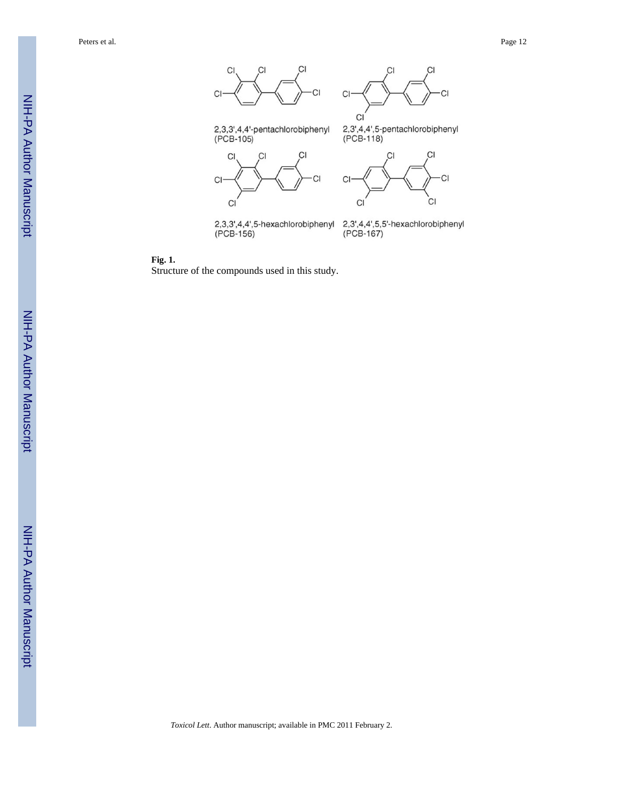Peters et al. Page 12



2,3,3',4,4',5-hexachlorobiphenyl (PCB-156)

2,3',4,4',5,5'-hexachlorobiphenyl (PCB-167)

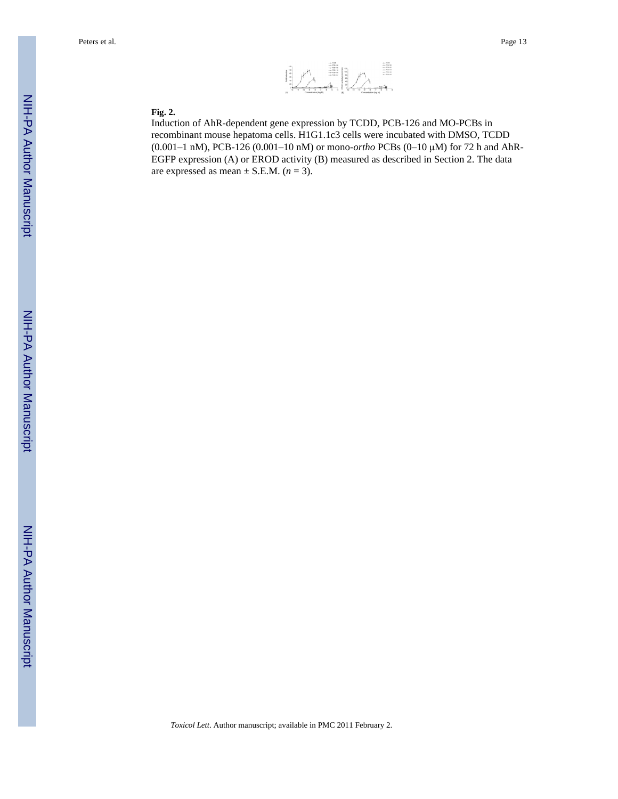

#### **Fig. 2.**

Induction of AhR-dependent gene expression by TCDD, PCB-126 and MO-PCBs in recombinant mouse hepatoma cells. H1G1.1c3 cells were incubated with DMSO, TCDD (0.001–1 nM), PCB-126 (0.001–10 nM) or mono-*ortho* PCBs (0–10 μM) for 72 h and AhR-EGFP expression (A) or EROD activity (B) measured as described in Section 2. The data are expressed as mean  $\pm$  S.E.M. ( $n = 3$ ).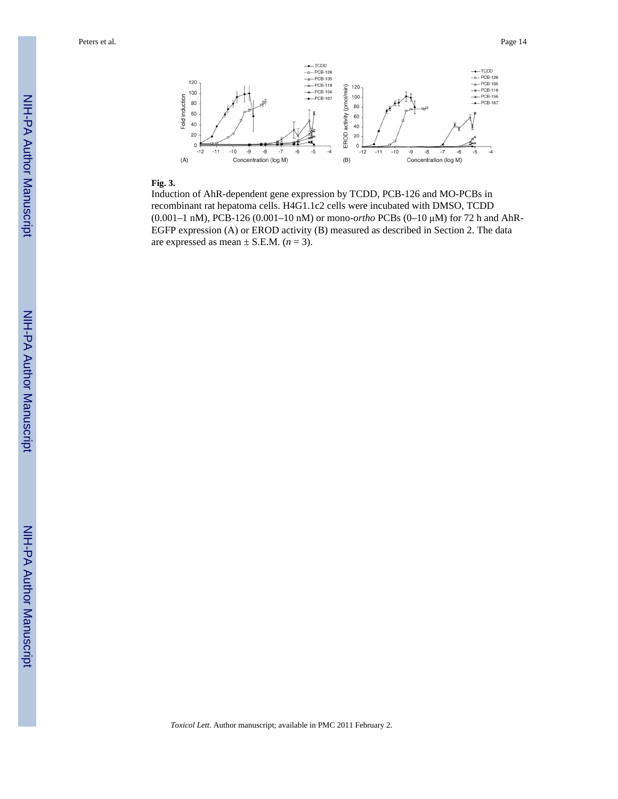Peters et al. Page 14



#### **Fig. 3.**

Induction of AhR-dependent gene expression by TCDD, PCB-126 and MO-PCBs in recombinant rat hepatoma cells. H4G1.1c2 cells were incubated with DMSO, TCDD (0.001–1 nM), PCB-126 (0.001–10 nM) or mono-*ortho* PCBs (0–10 μM) for 72 h and AhR-EGFP expression (A) or EROD activity (B) measured as described in Section 2. The data are expressed as mean  $\pm$  S.E.M. ( $n = 3$ ).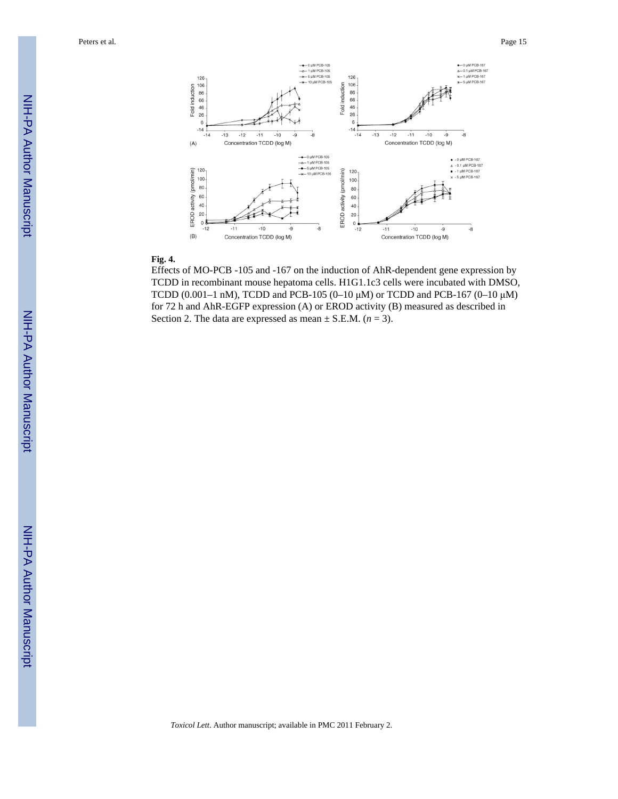Peters et al. Page 15



#### **Fig. 4.**

Effects of MO-PCB -105 and -167 on the induction of AhR-dependent gene expression by TCDD in recombinant mouse hepatoma cells. H1G1.1c3 cells were incubated with DMSO, TCDD (0.001–1 nM), TCDD and PCB-105 (0–10  $\mu$ M) or TCDD and PCB-167 (0–10  $\mu$ M) for 72 h and AhR-EGFP expression (A) or EROD activity (B) measured as described in Section 2. The data are expressed as mean  $\pm$  S.E.M. ( $n = 3$ ).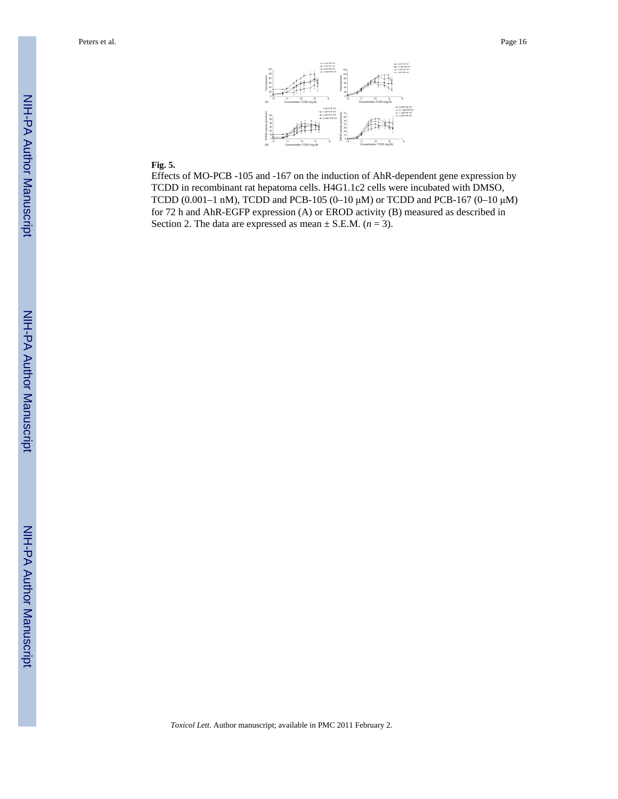

#### **Fig. 5.**

Effects of MO-PCB -105 and -167 on the induction of AhR-dependent gene expression by TCDD in recombinant rat hepatoma cells. H4G1.1c2 cells were incubated with DMSO, TCDD (0.001–1 nM), TCDD and PCB-105 (0–10 μM) or TCDD and PCB-167 (0–10 μM) for 72 h and AhR-EGFP expression (A) or EROD activity (B) measured as described in Section 2. The data are expressed as mean  $\pm$  S.E.M. ( $n = 3$ ).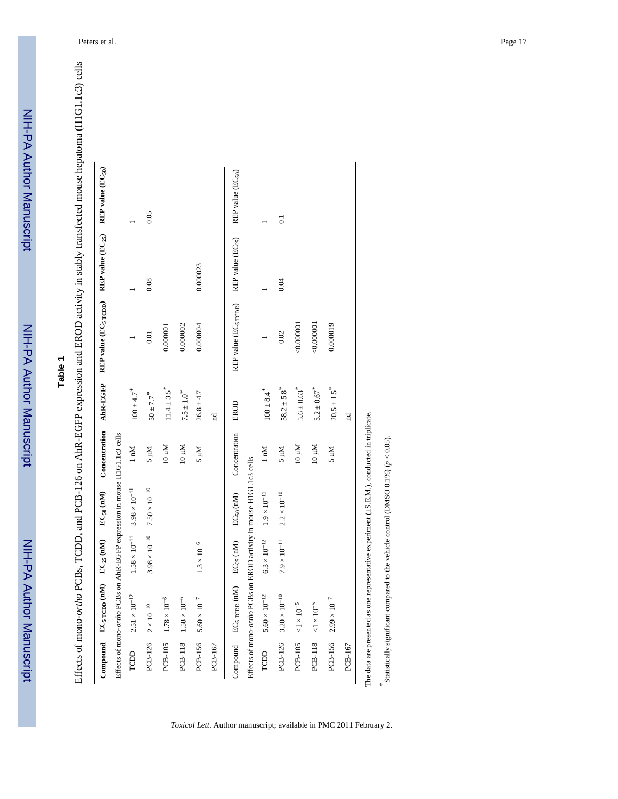## **Table 1**

| l                   |  |
|---------------------|--|
|                     |  |
|                     |  |
|                     |  |
|                     |  |
|                     |  |
|                     |  |
|                     |  |
|                     |  |
|                     |  |
|                     |  |
| Ī                   |  |
|                     |  |
|                     |  |
|                     |  |
|                     |  |
|                     |  |
|                     |  |
|                     |  |
|                     |  |
| ֦                   |  |
| .<br>ו              |  |
|                     |  |
|                     |  |
| ー・・・・               |  |
|                     |  |
|                     |  |
|                     |  |
|                     |  |
|                     |  |
|                     |  |
|                     |  |
| ı                   |  |
|                     |  |
| <br> <br> <br> <br> |  |
| $\vdots$            |  |
|                     |  |
|                     |  |
|                     |  |
|                     |  |
|                     |  |
| )<br>I<br>Í         |  |
|                     |  |
| ļ                   |  |
|                     |  |
| <br> <br> <br>١     |  |
|                     |  |
|                     |  |
|                     |  |
| 1                   |  |
| $\int_{0}^{1}$<br>I |  |
| I                   |  |
|                     |  |
| I                   |  |
| ーくり                 |  |
|                     |  |
|                     |  |
|                     |  |
|                     |  |
|                     |  |
|                     |  |
| l                   |  |
|                     |  |
|                     |  |

|         | Compound $EC5$ rcpp (nM)                                                  | $EC_{25}$ (nM)       | $EC_{50}$ (nM)                                | Concentration AhR-EGFP |                             | REP value (EC <sub>5</sub> rcpp) | REP value $(\mathbb{EC}_{25})$ | REP value (EC <sub>50</sub> ) |
|---------|---------------------------------------------------------------------------|----------------------|-----------------------------------------------|------------------------|-----------------------------|----------------------------------|--------------------------------|-------------------------------|
|         | Effects of mono-ortho PCBs on AhR-EGFP expression in mouse H1G1.1c3 cells |                      |                                               |                        |                             |                                  |                                |                               |
| TCDD    | $2.51 \times 10^{-12}$                                                    | $1.58\times10^{-11}$ | $3.98\times10^{-11}$                          | $1 \text{ nM}$         | $100 \pm 4.7$ <sup>*</sup>  |                                  |                                |                               |
|         | $PCB-126$ $2 \times 10^{-10}$                                             |                      | $3.98 \times 10^{-10}$ 7.50 $\times 10^{-10}$ | S µM                   | $50 \pm 7.7$ <sup>*</sup>   | 0.01                             | 0.08                           | 0.05                          |
|         | PCB-105 $1.78 \times 10^{-6}$                                             |                      |                                               | $M_{01}$               | $11.4 \pm 3.5$ <sup>*</sup> | 0.000001                         |                                |                               |
|         | $PCB-118$ $1.58 \times 10^{-6}$                                           |                      |                                               | 10 µM                  | $7.5\pm1.0^{*}$             | 0.000002                         |                                |                               |
|         | $PCB-156$ $5.60 \times 10^{-7}$                                           | $1.3\times10^{-6}$   |                                               | Mu s                   | $26.8 \pm 4.7$              | 0.000004                         | 0.000023                       |                               |
| PCB-167 |                                                                           |                      |                                               |                        | $_{\rm nd}$                 |                                  |                                |                               |
|         | Compound EC <sub>5</sub> rcpp (nM)                                        | $EC_{25}$ (nM)       | $EC_{50}$ (nM)                                | Concentration          | EROD                        | REP value (EC <sub>5</sub> rcpp) | REP value $(EC_{25})$          | REP value (EC <sub>50</sub> ) |
|         | Effects of mono-ortho PCBs on EROD activity in mouse H1G1.1c3 cells       |                      |                                               |                        |                             |                                  |                                |                               |
| TCDD    | $5.60 \times 10^{-12}$                                                    | $6.3\times10^{-12}$  | $1.9\times10^{-11}$                           | $1 \text{ mM}$         | $100 \pm 8.4$ <sup>*</sup>  |                                  |                                |                               |
|         | $PCB-126$ 3.20 $\times$ $10^{-10}$                                        | $7.9\times10^{-11}$  | $2.2\times10^{-10}$                           | Nu c                   | $58.2 \pm 5.8$ <sup>*</sup> | $0.02\,$                         | 0.04                           | $\overline{0}$ .              |
|         | $PCB-105$ <1 × 10 <sup>-5</sup>                                           |                      |                                               | $10 \mu M$             | $5.6 \pm 0.63$ <sup>*</sup> | 0.000001                         |                                |                               |
|         | $PCB-118 < 1 \times 10^{-5}$                                              |                      |                                               | 10 µM                  | $5.2 \pm 0.67$ <sup>*</sup> | 0.000001                         |                                |                               |
|         | PCB-156 $2.99 \times 10^{-7}$                                             |                      |                                               | Mu s                   | $20.5 \pm 1.5$ <sup>*</sup> | 0.000019                         |                                |                               |
| PCB-167 |                                                                           |                      |                                               |                        | $_{\rm nd}$                 |                                  |                                |                               |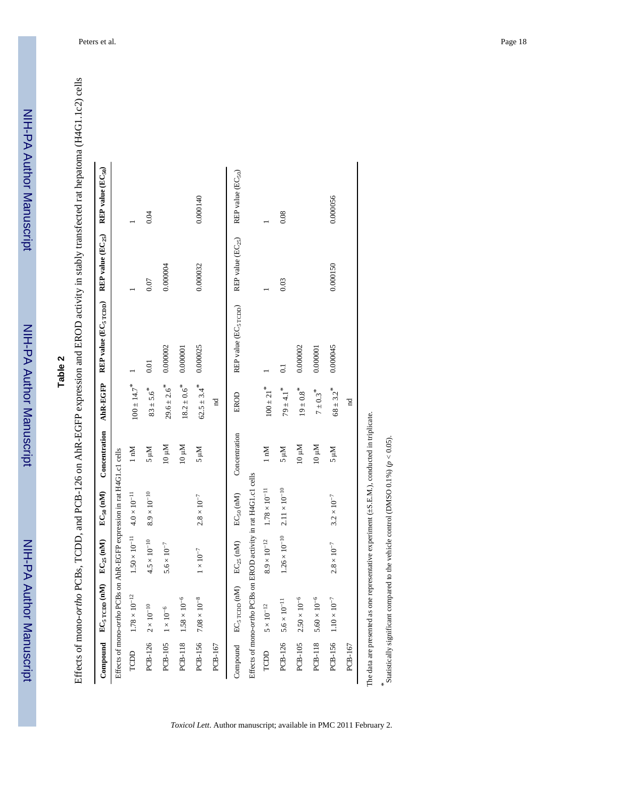## **Table 2**

Effects of mono-ortho PCBs, TCDD, and PCB-126 on AhR-EGFP expression and EROD activity in stably transfected rat hepatoma (H4G1.1c2) cells Effects of mono-*ortho* PCBs, TCDD, and PCB-126 on AhR-EGFP expression and EROD activity in stably transfected rat hepatoma (H4G1.1c2) cells

|                              | Compound EC <sub>5</sub> rcpp (nM)                                     | $EC_{25}$ (nM)                                 | $EC_{50}$ (nM)       | Concentration  | AhR-EGFP                    | REP value (EC <sub>5</sub> $_{\text{TCDD}}$ ) REP value (EC <sub>25</sub> ) |                       | REP value (EC <sub>50</sub> ) |
|------------------------------|------------------------------------------------------------------------|------------------------------------------------|----------------------|----------------|-----------------------------|-----------------------------------------------------------------------------|-----------------------|-------------------------------|
|                              | Effects of mono-ortho PCBs on AhR-EGFP expression in rat H4G1.c1 cells |                                                |                      |                |                             |                                                                             |                       |                               |
| TCDD                         | $1.78\times10^{-12}$                                                   | $1.50 \times 10^{-11}$ 4.0 × 10 <sup>-11</sup> |                      | $1 \text{ nM}$ | $100 \pm 14.7$ <sup>*</sup> |                                                                             |                       |                               |
|                              | $PCB-126$ $2 \times 10^{-10}$                                          | $4.5\times10^{-10}$                            | $8.9\times10^{-10}$  | Nn s           | $83 \pm 5.6$ <sup>*</sup>   | 0.01                                                                        | 0.07                  | 0.04                          |
| $PCB-105$ $1 \times 10^{-6}$ |                                                                        | $5.6\times10^{-7}$                             |                      | $M_{01}$       | $29.6 \pm 2.6$ <sup>*</sup> | 0.000002                                                                    | 0.000004              |                               |
|                              | $PCB-118$ $1.58 \times 10^{-6}$                                        |                                                |                      | $M_{01}$       | $18.2 \pm 0.6$ <sup>*</sup> | 0.000001                                                                    |                       |                               |
|                              | $PCB-156$ $7.08 \times 10^{-8}$                                        | $1\times10^{-7}$                               | $2.8\times10^{-7}$   | Mu s           | $62.5 \pm 3.4$ <sup>*</sup> | 0.000025                                                                    | 0.000032              | 0.000140                      |
| PCB-167                      |                                                                        |                                                |                      |                | $_{\rm nd}$                 |                                                                             |                       |                               |
|                              | Compound $EC_5$ rcpp (nM) $EC_{25}$ (nM)                               |                                                | $EC_{50}$ (nM)       | Concentration  | EROD                        | REP value (EC <sub>5</sub> rcpp)                                            | REP value $(EC_{25})$ | REP value $(EC_{50})$         |
|                              | Effects of mono-ortho PCBs on EROD activity in rat H4G1.c1 cells       |                                                |                      |                |                             |                                                                             |                       |                               |
| TCDD                         | $5\times10^{-12}$                                                      | $8.9\times10^{-12}$                            | $1.78\times10^{-11}$ | $1 \text{ nM}$ | $100 \pm 21$ <sup>*</sup>   |                                                                             |                       |                               |
|                              | PCB-126 $5.6 \times 10^{-11}$                                          | $1.26 \times 10^{-10}$                         | $2.11\times10^{-10}$ | Mu s           | $79\pm4.1$ $^{*}$           | $\overline{0}$ .                                                            | 0.03                  | 0.08                          |
| PCB-105                      | $2.50\times10^{-6}$                                                    |                                                |                      | 10 µM          | $19\pm0.8$ $^{*}$           | 0.000002                                                                    |                       |                               |
| PCB-118                      | $5.60\times10^{-6}$                                                    |                                                |                      | $M_{01}$       | $7 \pm 0.3$ <sup>*</sup>    | 0.000001                                                                    |                       |                               |
|                              | $PCB-156$ $1.10 \times 10^{-7}$                                        | $2.8\times10^{-7}$                             | $3.2\times10^{-7}$   | Mu s           | $68 \pm 3.2$ <sup>*</sup>   | 0.000045                                                                    | 0.000150              | 0.000056                      |
| PCB-167                      |                                                                        |                                                |                      |                | $_{\rm nd}$                 |                                                                             |                       |                               |

*\**

Statistically significant compared to the vehicle control (DMSO  $0.1\%$ ) ( $p < 0.05$ ).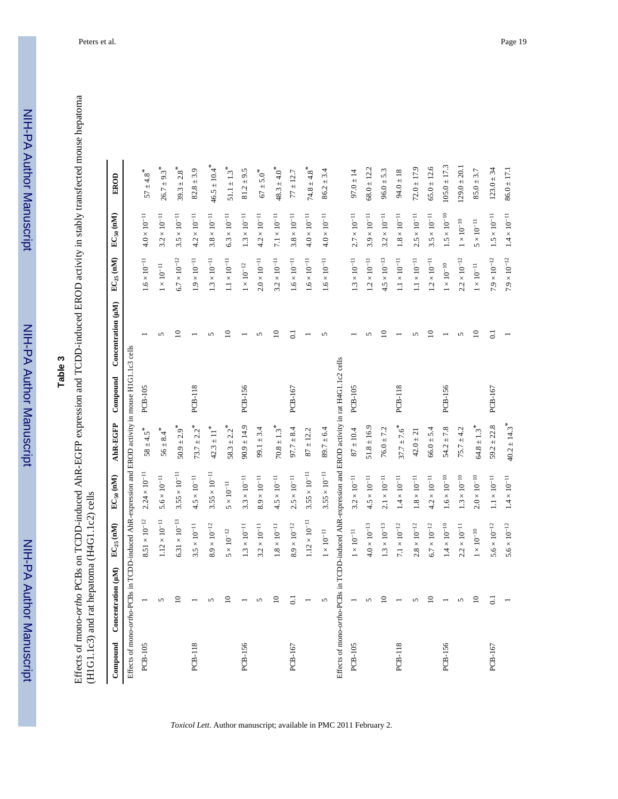NIH-PA Author Manuscript

NIH-PA Author Manuscript

# **Table 3**

Effects of mono-ortho PCBs on TCDD-induced AhR-EGFP expression and TCDD-induced EROD activity in stably transfected mouse hepatoma (H1G1.1c3) and rat hepatoma (H4G1.1c2) cells Effects of mono-*ortho* PCBs on TCDD-induced AhR-EGFP expression and TCDD-induced EROD activity in stably transfected mouse hepatoma (H1G1.1c3) and rat hepatoma (H4G1.1c2) cells

| Compound       | Concentration (µM)                                                                                  | $\mathrm{EC}_{25}$ (nM) | $EC_{50}$ (nM)         | AhR-EGFP                     | Compound       | Concentration (µM) | $EC_{25}$ (nM)        | $EC_{50}$ (nM)      | EROD                         |
|----------------|-----------------------------------------------------------------------------------------------------|-------------------------|------------------------|------------------------------|----------------|--------------------|-----------------------|---------------------|------------------------------|
|                | Effects of mono-ortho-PCBs in TCDD-induced AhR-expression and EROD activity in mouse H1G1.1c3 cells |                         |                        |                              |                |                    |                       |                     |                              |
| <b>PCB-105</b> |                                                                                                     | $8.51\times10^{-12}$    | $2.24 \times 10^{-11}$ | $58 \pm 4.5$ <sup>*</sup>    | PCB-105        |                    | $1.6 \times 10^{-11}$ | $4.0\times10^{-11}$ | $57 \pm 4.8$ <sup>*</sup>    |
|                | $\mathbf{r}$                                                                                        | $1.12\times10^{-11}$    | $5.6 \times 10^{-11}$  | $56 \pm 8.4$ <sup>*</sup>    |                | $\sqrt{2}$         | $1\times10^{-11}$     | $3.2\times10^{-11}$ | $26.7 \pm 9.3$ <sup>*</sup>  |
|                | $\supseteq$                                                                                         | $6.31\times10^{-13}$    | $3.55\times10^{-11}$   | $50.9 \pm 2.9$ <sup>*</sup>  |                | $\subseteq$        | $6.7\times10^{-12}$   | $3.5\times10^{-11}$ | $39.3 \pm 2.8$ <sup>*</sup>  |
| <b>PCB-118</b> |                                                                                                     | $3.5\times10^{-11}$     | $4.5\times10^{-11}$    | $73.7 \pm 2.2$ <sup>*</sup>  | PCB-118        |                    | $1.9\times10^{-11}$   | $4.2\times10^{-11}$ | $82.8 \pm 3.9$               |
|                | $\sqrt{2}$                                                                                          | $8.9\times10^{-12}$     | $3.55\times10^{-11}$   | $42.3 \pm 11$ <sup>*</sup>   |                |                    | $1.3\times10^{-11}$   | $3.8\times10^{-11}$ | $46.5 \pm 10.4$ <sup>*</sup> |
|                | $\supseteq$                                                                                         | $5\times10^{-12}$       | $5\times10^{-11}$      | $58.3 \pm 2.2$ <sup>*</sup>  |                | $\subseteq$        | $1.1\times10^{-11}$   | $6.3\times10^{-11}$ | $51.1\pm1.3$ $^{*}$          |
| PCB-156        |                                                                                                     | $1.3\times10^{-11}$     | $3.3\times10^{-11}$    | $90.9 \pm 14.9$              | PCB-156        |                    | $1\times10^{-12}$     | $1.3\times10^{-11}$ | $81.2 \pm 9.5$               |
|                | $\sqrt{2}$                                                                                          | $3.2\times10^{-11}$     | $8.9\times10^{-11}$    | $99.1 \pm 3.4$               |                |                    | $2.0\times10^{-11}$   | $4.2\times10^{-11}$ | $67\pm5.0$ $^*$              |
|                | $\overline{a}$                                                                                      | $1.8\times10^{-11}$     | $4.5\times10^{-11}$    | $70.8 \pm 1.3$ <sup>*</sup>  |                | $\subseteq$        | $3.2\times10^{-11}$   | $7.1\times10^{-11}$ | $48.3 \pm 4.0$ <sup>*</sup>  |
| PCB-167        | $\overline{0}$                                                                                      | $8.9\times10^{-12}$     | $2.5 \times 10^{-11}$  | $97.7 \pm 8.4$               | PCB-167        | $\overline{0}$     | $1.6 \times 10^{-11}$ | $3.8\times10^{-11}$ | $77 \pm 12.7$                |
|                |                                                                                                     | $1.12\times10^{-11}$    | $3.55\times10^{-11}$   | $87 \pm 12.2$                |                |                    | $1.6\times10^{-11}$   | $4.0\times10^{-11}$ | $74.8 \pm 4.8$ <sup>*</sup>  |
|                | 5                                                                                                   | $1\times10^{-11}$       | $3.55\times10^{-11}$   | $89.7 \pm 6.4$               |                |                    | $1.6\times10^{-11}$   | $4.0\times10^{-11}$ | $86.2 \pm 3.4$               |
|                | Effects of mono-ortho-PCBs in TCDD-induced AhR-expression and EROD activity in rat H4G1.1c2 cells   |                         |                        |                              |                |                    |                       |                     |                              |
| <b>PCB-105</b> |                                                                                                     | $1\times10^{-11}$       | $3.2\times10^{-11}$    | $87\pm10.4$                  | <b>PCB-105</b> |                    | $1.3\times10^{-11}$   | $2.7\times10^{-11}$ | $97.0 \pm 14$                |
|                | $\sqrt{2}$                                                                                          | $4.0\times10^{-13}$     | $4.5\times10^{-11}$    | $51.8 \pm 16.9$              |                |                    | $1.2\times10^{-11}$   | $3.9\times10^{-11}$ | $68.0 \pm 12.2$              |
|                | $\overline{\mathsf{C}}$                                                                             | $1.3\times10^{-13}$     | $2.1\times10^{-11}$    | $76.0 \pm 7.2$               |                | $\subseteq$        | $4.5\times10^{-13}$   | $3.2\times10^{-11}$ | $96.0 \pm 5.3$               |
| <b>PCB-118</b> |                                                                                                     | $7.1\times10^{-12}$     | $1.4\times10^{-11}$    | $37.7 \pm 7.6$ <sup>*</sup>  | PCB-118        |                    | $1.1\times10^{-11}$   | $1.8\times10^{-11}$ | $94.0 \pm 18$                |
|                | S                                                                                                   | $2.8\times10^{-12}$     | $1.8\times10^{-11}$    | $42.0 \pm 21$                |                |                    | $1.1\times10^{-11}$   | $2.5\times10^{-11}$ | $72.0 \pm 17.9$              |
|                | $\supseteq$                                                                                         | $6.7\times10^{-12}$     | $4.2\times10^{-11}$    | $66.0 \pm 5.4$               |                | $\subseteq$        | $1.2\times10^{-11}$   | $3.5\times10^{-11}$ | $65.0 \pm 12.6$              |
| PCB-156        |                                                                                                     | $1.4\times10^{-10}$     | $1.6 \times 10^{-10}$  | $54.2 \pm 7.8$               | PCB-156        |                    | $1\times10^{-10}$     | $1.5\times10^{-10}$ | $105.0 \pm 17.3$             |
|                | $\sqrt{2}$                                                                                          | $2.2\times10^{-11}$     | $1.3\times10^{-10}$    | $75.7 \pm 4.2$               |                |                    | $2.2\times10^{-12}$   | $1\times10^{-10}$   | $129.0 \pm 20.1$             |
|                | $\supseteq$                                                                                         | $1\times10^{-10}$       | $2.0\times10^{-10}$    | $64.8 \pm 1.3$ <sup>*</sup>  |                | $\subseteq$        | $1\times10^{-11}$     | $5\times10^{-11}$   | $85.0 \pm 3.7$               |
| PCB-167        | $\overline{0}$ .                                                                                    | $5.6\times10^{-12}$     | $1.1\times10^{-11}$    | $59.2 \pm 22.8$              | PCB-167        | $\overline{0}$     | $7.9\times10^{-12}$   | $1.5\times10^{-11}$ | $123.0 \pm 34$               |
|                |                                                                                                     | $5.6 \times 10^{-12}$   | $1.4\times10^{-11}$    | $40.2 \pm 14.3$ <sup>*</sup> |                |                    | $7.9\times10^{-12}$   | $1.4\times10^{-11}$ | $86.0 \pm 17.1$              |